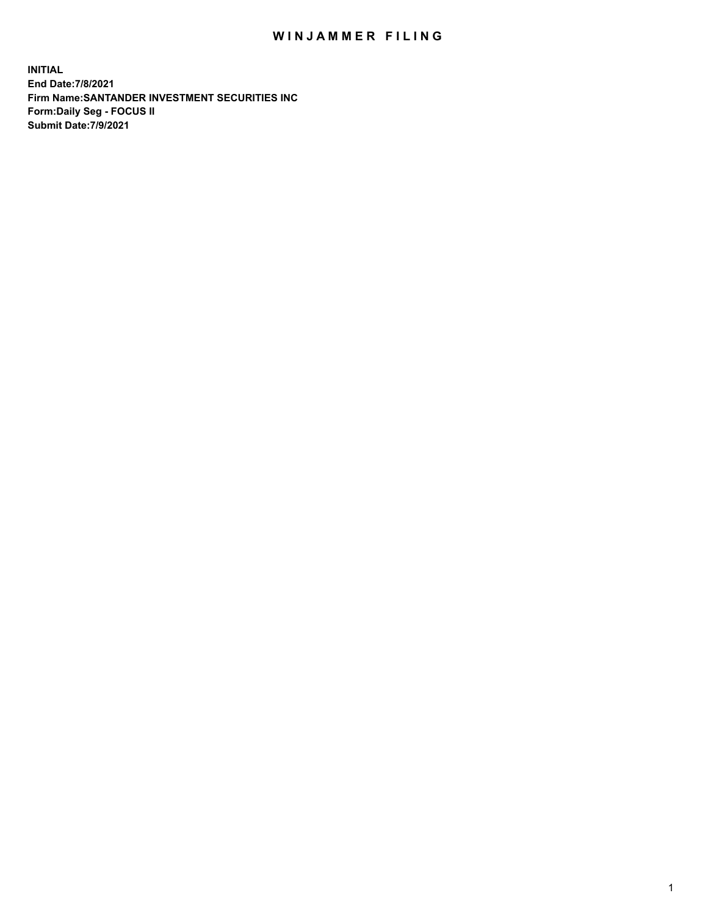## WIN JAMMER FILING

**INITIAL End Date:7/8/2021 Firm Name:SANTANDER INVESTMENT SECURITIES INC Form:Daily Seg - FOCUS II Submit Date:7/9/2021**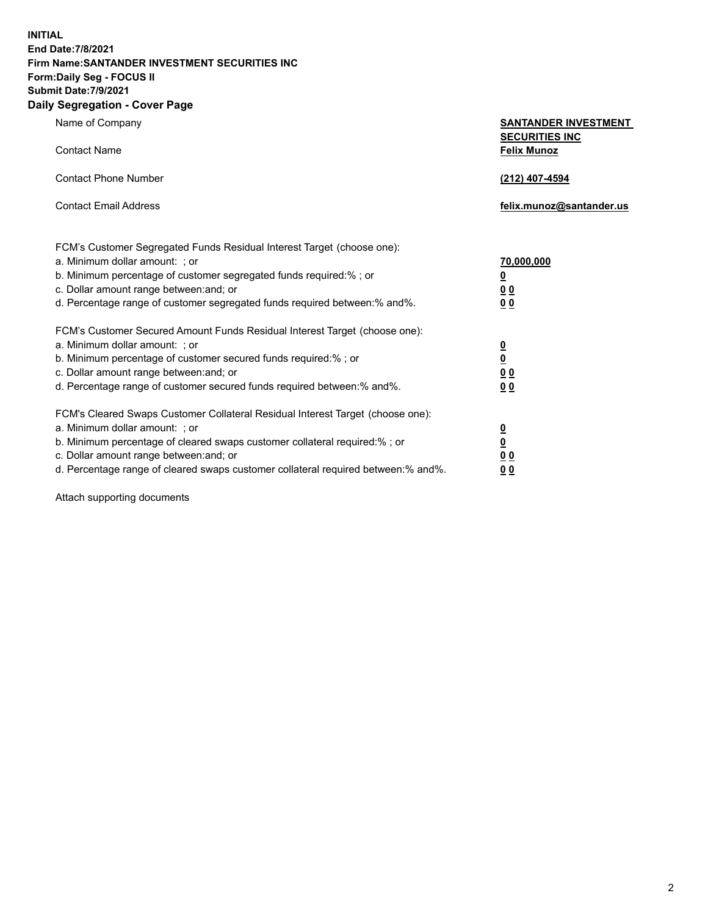**INITIAL End Date:7/8/2021 Firm Name:SANTANDER INVESTMENT SECURITIES INC Form:Daily Seg - FOCUS II Submit Date:7/9/2021 Daily Segregation - Cover Page**

| $-0.9$                                                                            |                                                      |
|-----------------------------------------------------------------------------------|------------------------------------------------------|
| Name of Company                                                                   | <b>SANTANDER INVESTMENT</b><br><b>SECURITIES INC</b> |
| <b>Contact Name</b>                                                               | <b>Felix Munoz</b>                                   |
| <b>Contact Phone Number</b>                                                       | (212) 407-4594                                       |
| <b>Contact Email Address</b>                                                      | felix.munoz@santander.us                             |
| FCM's Customer Segregated Funds Residual Interest Target (choose one):            |                                                      |
| a. Minimum dollar amount: ; or                                                    | 70,000,000                                           |
| b. Minimum percentage of customer segregated funds required:% ; or                | $\underline{\mathbf{0}}$                             |
| c. Dollar amount range between: and; or                                           | 0 <sub>0</sub>                                       |
| d. Percentage range of customer segregated funds required between:% and%.         | 0 <sub>0</sub>                                       |
| FCM's Customer Secured Amount Funds Residual Interest Target (choose one):        |                                                      |
| a. Minimum dollar amount: ; or                                                    | $\frac{0}{0}$                                        |
| b. Minimum percentage of customer secured funds required:%; or                    |                                                      |
| c. Dollar amount range between: and; or                                           | 0 <sub>0</sub>                                       |
| d. Percentage range of customer secured funds required between:% and%.            | 0 <sub>0</sub>                                       |
| FCM's Cleared Swaps Customer Collateral Residual Interest Target (choose one):    |                                                      |
| a. Minimum dollar amount: ; or                                                    | <u>0</u>                                             |
| b. Minimum percentage of cleared swaps customer collateral required:% ; or        | $\underline{\mathbf{0}}$                             |
| c. Dollar amount range between: and; or                                           | 0 <sub>0</sub>                                       |
| d. Percentage range of cleared swaps customer collateral required between:% and%. | 0 <sub>0</sub>                                       |

Attach supporting documents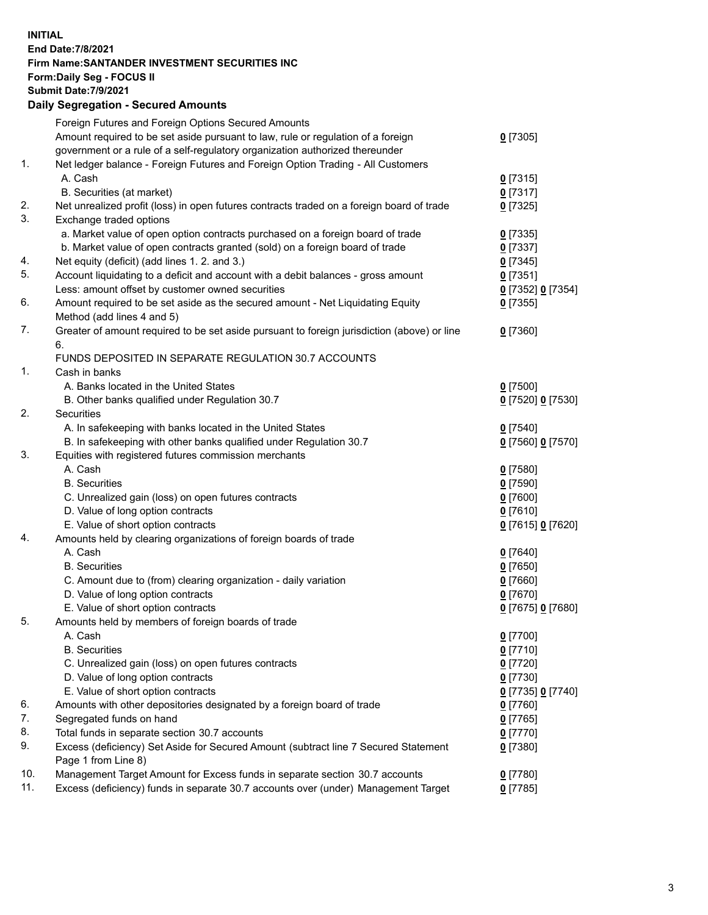## **INITIAL End Date:7/8/2021 Firm Name:SANTANDER INVESTMENT SECURITIES INC Form:Daily Seg - FOCUS II Submit Date:7/9/2021 Daily Segregation - Secured Amounts** Foreign Futures and Foreign Options Secured Amounts Amount required to be set aside pursuant to law, rule or regulation of a foreign government or a rule of a self-regulatory organization authorized thereunder

| $\mathbf 1$ . | Net ledger balance - Foreign Futures and Foreign Option Trading - All Customers             |                   |  |
|---------------|---------------------------------------------------------------------------------------------|-------------------|--|
|               | A. Cash                                                                                     | $0$ [7315]        |  |
|               | B. Securities (at market)                                                                   | $0$ [7317]        |  |
| 2.            | Net unrealized profit (loss) in open futures contracts traded on a foreign board of trade   | $0$ [7325]        |  |
| 3.            | Exchange traded options                                                                     |                   |  |
|               | a. Market value of open option contracts purchased on a foreign board of trade              | $0$ [7335]        |  |
|               | b. Market value of open contracts granted (sold) on a foreign board of trade                | $0$ [7337]        |  |
| 4.            | Net equity (deficit) (add lines 1. 2. and 3.)                                               | $0$ [7345]        |  |
| 5.            | Account liquidating to a deficit and account with a debit balances - gross amount           | $0$ [7351]        |  |
|               | Less: amount offset by customer owned securities                                            | 0 [7352] 0 [7354] |  |
| 6.            | Amount required to be set aside as the secured amount - Net Liquidating Equity              | $0$ [7355]        |  |
|               | Method (add lines 4 and 5)                                                                  |                   |  |
| 7.            | Greater of amount required to be set aside pursuant to foreign jurisdiction (above) or line | $0$ [7360]        |  |
|               | 6.                                                                                          |                   |  |
|               | FUNDS DEPOSITED IN SEPARATE REGULATION 30.7 ACCOUNTS                                        |                   |  |
| 1.            | Cash in banks                                                                               |                   |  |
|               | A. Banks located in the United States                                                       | $0$ [7500]        |  |
|               | B. Other banks qualified under Regulation 30.7                                              | 0 [7520] 0 [7530] |  |
| 2.            | Securities                                                                                  |                   |  |
|               | A. In safekeeping with banks located in the United States                                   | $0$ [7540]        |  |
|               | B. In safekeeping with other banks qualified under Regulation 30.7                          | 0 [7560] 0 [7570] |  |
| 3.            | Equities with registered futures commission merchants                                       |                   |  |
|               | A. Cash                                                                                     | $0$ [7580]        |  |
|               | <b>B.</b> Securities                                                                        | $0$ [7590]        |  |
|               | C. Unrealized gain (loss) on open futures contracts                                         | $0$ [7600]        |  |
|               | D. Value of long option contracts                                                           | $0$ [7610]        |  |
|               | E. Value of short option contracts                                                          | 0 [7615] 0 [7620] |  |
| 4.            | Amounts held by clearing organizations of foreign boards of trade                           |                   |  |
|               | A. Cash                                                                                     | $0$ [7640]        |  |
|               | <b>B.</b> Securities                                                                        | $0$ [7650]        |  |
|               | C. Amount due to (from) clearing organization - daily variation                             | $0$ [7660]        |  |
|               | D. Value of long option contracts                                                           | $0$ [7670]        |  |
|               | E. Value of short option contracts                                                          | 0 [7675] 0 [7680] |  |
| 5.            | Amounts held by members of foreign boards of trade                                          |                   |  |
|               | A. Cash                                                                                     | $0$ [7700]        |  |
|               | <b>B.</b> Securities                                                                        | $0$ [7710]        |  |
|               | C. Unrealized gain (loss) on open futures contracts                                         | $0$ [7720]        |  |
|               | D. Value of long option contracts                                                           | $0$ [7730]        |  |
|               | E. Value of short option contracts                                                          | 0 [7735] 0 [7740] |  |
| 6.            | Amounts with other depositories designated by a foreign board of trade                      | $0$ [7760]        |  |
| 7.            | Segregated funds on hand                                                                    | $0$ [7765]        |  |
| 8.            | Total funds in separate section 30.7 accounts                                               | $0$ [7770]        |  |
| 9.            | Excess (deficiency) Set Aside for Secured Amount (subtract line 7 Secured Statement         | $0$ [7380]        |  |
|               | Page 1 from Line 8)                                                                         |                   |  |
| 10.           | Management Target Amount for Excess funds in separate section 30.7 accounts                 | $0$ [7780]        |  |
| 11.           | Excess (deficiency) funds in separate 30.7 accounts over (under) Management Target          | $0$ [7785]        |  |

**0** [7305]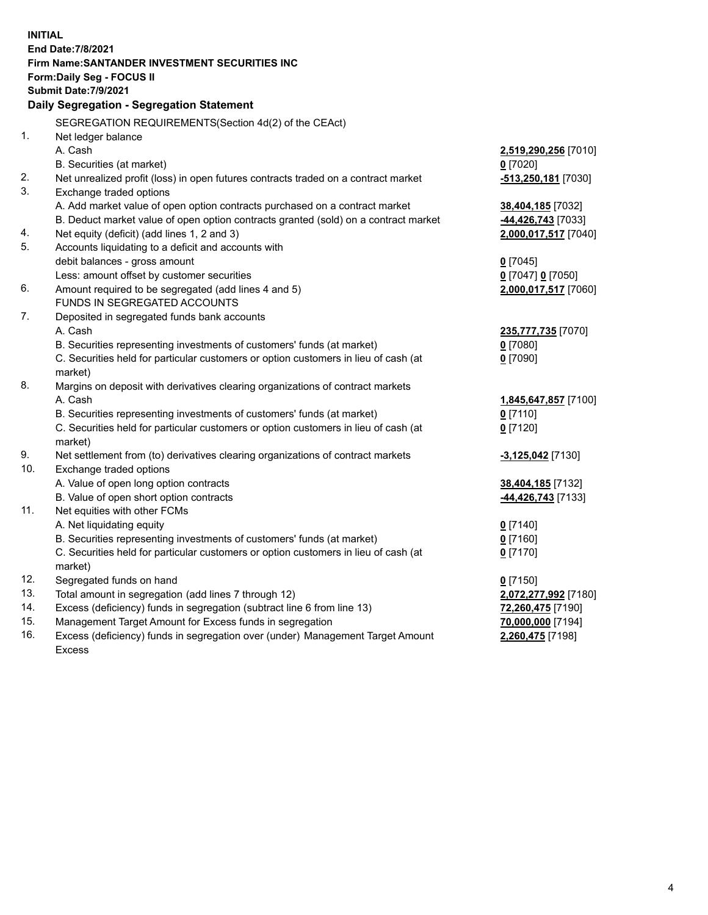| <b>INITIAL</b> |                                                                                                |                       |
|----------------|------------------------------------------------------------------------------------------------|-----------------------|
|                | <b>End Date: 7/8/2021</b>                                                                      |                       |
|                | Firm Name: SANTANDER INVESTMENT SECURITIES INC                                                 |                       |
|                | <b>Form:Daily Seg - FOCUS II</b>                                                               |                       |
|                | <b>Submit Date: 7/9/2021</b>                                                                   |                       |
|                | Daily Segregation - Segregation Statement                                                      |                       |
|                | SEGREGATION REQUIREMENTS(Section 4d(2) of the CEAct)                                           |                       |
| 1.             | Net ledger balance                                                                             |                       |
|                | A. Cash                                                                                        | 2,519,290,256 [7010]  |
|                | B. Securities (at market)                                                                      | $0$ [7020]            |
| 2.             | Net unrealized profit (loss) in open futures contracts traded on a contract market             | $-513,250,181$ [7030] |
| 3.             | Exchange traded options                                                                        |                       |
|                | A. Add market value of open option contracts purchased on a contract market                    | 38,404,185 [7032]     |
|                | B. Deduct market value of open option contracts granted (sold) on a contract market            | -44,426,743 [7033]    |
| 4.             | Net equity (deficit) (add lines 1, 2 and 3)                                                    | 2,000,017,517 [7040]  |
| 5.             | Accounts liquidating to a deficit and accounts with                                            |                       |
|                | debit balances - gross amount                                                                  | $0$ [7045]            |
|                | Less: amount offset by customer securities                                                     | 0 [7047] 0 [7050]     |
| 6.             | Amount required to be segregated (add lines 4 and 5)                                           | 2,000,017,517 [7060]  |
|                | FUNDS IN SEGREGATED ACCOUNTS                                                                   |                       |
| 7.             | Deposited in segregated funds bank accounts                                                    |                       |
|                | A. Cash                                                                                        | 235,777,735 [7070]    |
|                | B. Securities representing investments of customers' funds (at market)                         | $0$ [7080]            |
|                | C. Securities held for particular customers or option customers in lieu of cash (at            | $0$ [7090]            |
|                | market)                                                                                        |                       |
| 8.             | Margins on deposit with derivatives clearing organizations of contract markets                 |                       |
|                | A. Cash                                                                                        | 1,845,647,857 [7100]  |
|                | B. Securities representing investments of customers' funds (at market)                         | $0$ [7110]            |
|                | C. Securities held for particular customers or option customers in lieu of cash (at<br>market) | $0$ [7120]            |
| 9.             | Net settlement from (to) derivatives clearing organizations of contract markets                | $-3,125,042$ [7130]   |
| 10.            | Exchange traded options                                                                        |                       |
|                | A. Value of open long option contracts                                                         | 38,404,185 [7132]     |
|                | B. Value of open short option contracts                                                        | 44,426,743 [7133]     |
| 11.            | Net equities with other FCMs                                                                   |                       |
|                | A. Net liquidating equity                                                                      | $0$ [7140]            |
|                | B. Securities representing investments of customers' funds (at market)                         | $0$ [7160]            |
|                | C. Securities held for particular customers or option customers in lieu of cash (at            | $0$ [7170]            |
|                | market)                                                                                        |                       |
| 12.            | Segregated funds on hand                                                                       | $0$ [7150]            |
| 13.            | Total amount in segregation (add lines 7 through 12)                                           | 2,072,277,992 [7180]  |
| 14.            | Excess (deficiency) funds in segregation (subtract line 6 from line 13)                        | 72,260,475 [7190]     |
| 15.            | Management Target Amount for Excess funds in segregation                                       | 70,000,000 [7194]     |
| 16.            | Excess (deficiency) funds in segregation over (under) Management Target Amount                 | 2,260,475 [7198]      |
|                | <b>Excess</b>                                                                                  |                       |